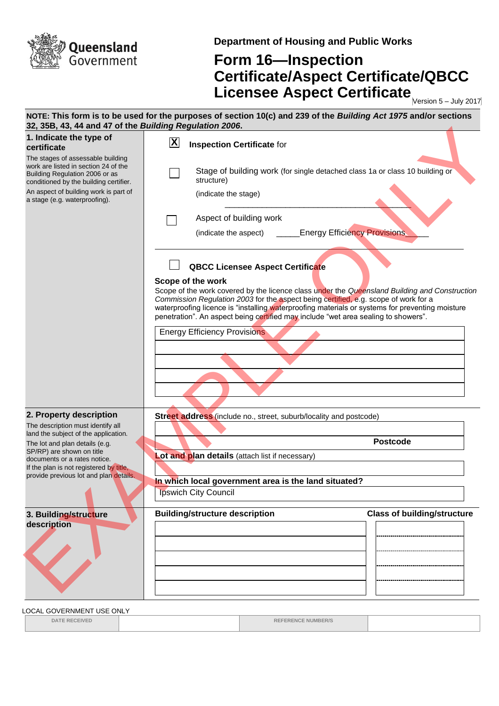

**Department of Housing and Public Works**

## **Form 16—Inspection Certificate/Aspect Certificate/QBCC Licensee Aspect Certificate** Mersion 5-July 2017

| 32, 35B, 43, 44 and 47 of the Building Regulation 2006.                                                                                               | NOTE: This form is to be used for the purposes of section 10(c) and 239 of the Building Act 1975 and/or sections                                                                                                                                                                                                                                                                                   |
|-------------------------------------------------------------------------------------------------------------------------------------------------------|----------------------------------------------------------------------------------------------------------------------------------------------------------------------------------------------------------------------------------------------------------------------------------------------------------------------------------------------------------------------------------------------------|
| 1. Indicate the type of<br>certificate                                                                                                                | $\vert \mathbf{X} \vert$<br><b>Inspection Certificate for</b>                                                                                                                                                                                                                                                                                                                                      |
| The stages of assessable building<br>work are listed in section 24 of the<br>Building Regulation 2006 or as<br>conditioned by the building certifier. | Stage of building work (for single detached class 1a or class 10 building or<br>structure)                                                                                                                                                                                                                                                                                                         |
| An aspect of building work is part of<br>a stage (e.g. waterproofing).                                                                                | (indicate the stage)                                                                                                                                                                                                                                                                                                                                                                               |
|                                                                                                                                                       | Aspect of building work                                                                                                                                                                                                                                                                                                                                                                            |
|                                                                                                                                                       | <b>Energy Efficiency Provisions</b><br>(indicate the aspect)                                                                                                                                                                                                                                                                                                                                       |
|                                                                                                                                                       | <b>QBCC Licensee Aspect Certificate</b>                                                                                                                                                                                                                                                                                                                                                            |
|                                                                                                                                                       | Scope of the work<br>Scope of the work covered by the licence class under the Queensland Building and Construction<br>Commission Regulation 2003 for the aspect being certified, e.g. scope of work for a<br>waterproofing licence is "installing waterproofing materials or systems for preventing moisture<br>penetration". An aspect being certified may include "wet area sealing to showers". |
|                                                                                                                                                       | <b>Energy Efficiency Provisions</b>                                                                                                                                                                                                                                                                                                                                                                |
|                                                                                                                                                       |                                                                                                                                                                                                                                                                                                                                                                                                    |
|                                                                                                                                                       |                                                                                                                                                                                                                                                                                                                                                                                                    |
|                                                                                                                                                       |                                                                                                                                                                                                                                                                                                                                                                                                    |
| 2. Property description                                                                                                                               | Street address (include no., street, suburb/locality and postcode)                                                                                                                                                                                                                                                                                                                                 |
| The description must identify all<br>land the subject of the application.                                                                             |                                                                                                                                                                                                                                                                                                                                                                                                    |
| The lot and plan details (e.g.<br>SP/RP) are shown on title                                                                                           | <b>Postcode</b>                                                                                                                                                                                                                                                                                                                                                                                    |
| documents or a rates notice.                                                                                                                          | Lot and plan details (attach list if necessary)                                                                                                                                                                                                                                                                                                                                                    |
| If the plan is not registered by title,<br>provide previous lot and plan details.                                                                     |                                                                                                                                                                                                                                                                                                                                                                                                    |
|                                                                                                                                                       | In which local government area is the land situated?<br>Ipswich City Council                                                                                                                                                                                                                                                                                                                       |
|                                                                                                                                                       |                                                                                                                                                                                                                                                                                                                                                                                                    |
| 3. Building/structure                                                                                                                                 | <b>Building/structure description</b><br><b>Class of building/structure</b>                                                                                                                                                                                                                                                                                                                        |
| description                                                                                                                                           |                                                                                                                                                                                                                                                                                                                                                                                                    |
|                                                                                                                                                       |                                                                                                                                                                                                                                                                                                                                                                                                    |
|                                                                                                                                                       |                                                                                                                                                                                                                                                                                                                                                                                                    |
|                                                                                                                                                       |                                                                                                                                                                                                                                                                                                                                                                                                    |
|                                                                                                                                                       |                                                                                                                                                                                                                                                                                                                                                                                                    |
|                                                                                                                                                       |                                                                                                                                                                                                                                                                                                                                                                                                    |

LOCAL GOVERNMENT USE ONLY

**DATE RECEIVED REFERENCE NUMBER/S**